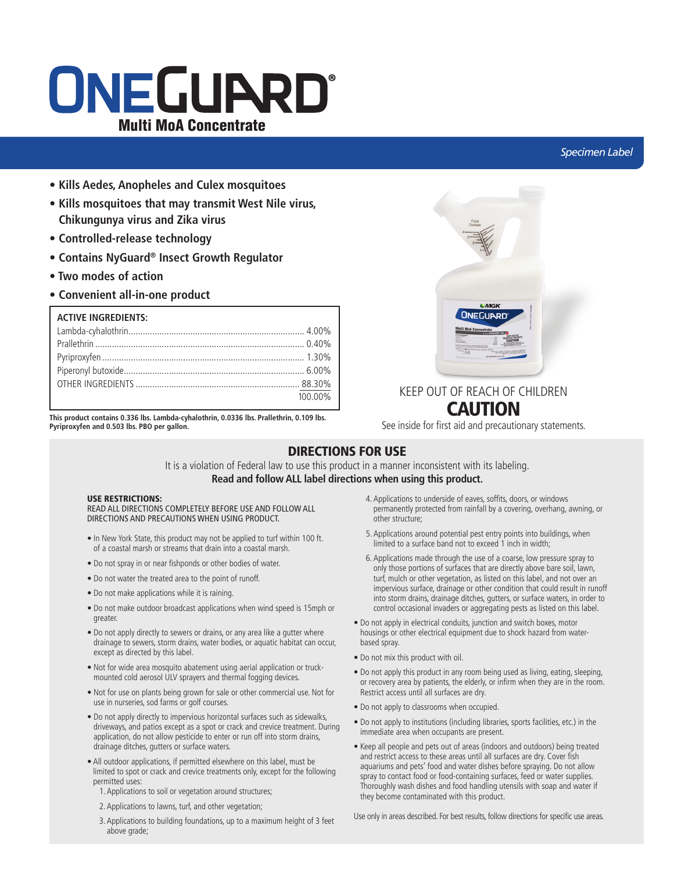# ONEGUARD® Multi MoA Concentrate

### *Specimen Label*

- **Kills Aedes, Anopheles and Culex mosquitoes**
- **Kills mosquitoes that may transmit West Nile virus, Chikungunya virus and Zika virus**
- **Controlled-release technology**
- **Contains NyGuard® Insect Growth Regulator**
- **Two modes of action**
- **Convenient all-in-one product**

| <b>ACTIVE INGREDIENTS:</b> |         |
|----------------------------|---------|
|                            |         |
|                            |         |
|                            |         |
|                            |         |
|                            |         |
|                            | 100.00% |

**This product contains 0.336 lbs. Lambda-cyhalothrin, 0.0336 lbs. Prallethrin, 0.109 lbs. Pyriproxyfen and 0.503 lbs. PBO per gallon.**



### KEEP OUT OF REACH OF CHILDREN **CAUTION**

See inside for first aid and precautionary statements.

### DIRECTIONS FOR USE

It is a violation of Federal law to use this product in a manner inconsistent with its labeling. **Read and follow ALL label directions when using this product.**

### USE RESTRICTIONS:

READ ALL DIRECTIONS COMPLETELY BEFORE USE AND FOLLOW ALL DIRECTIONS AND PRECAUTIONS WHEN USING PRODUCT.

- In New York State, this product may not be applied to turf within 100 ft. of a coastal marsh or streams that drain into a coastal marsh.
- Do not spray in or near fishponds or other bodies of water.
- Do not water the treated area to the point of runoff.
- Do not make applications while it is raining.
- Do not make outdoor broadcast applications when wind speed is 15mph or greater.
- Do not apply directly to sewers or drains, or any area like a gutter where drainage to sewers, storm drains, water bodies, or aquatic habitat can occur, except as directed by this label.
- Not for wide area mosquito abatement using aerial application or truckmounted cold aerosol ULV sprayers and thermal fogging devices.
- Not for use on plants being grown for sale or other commercial use. Not for use in nurseries, sod farms or golf courses.
- Do not apply directly to impervious horizontal surfaces such as sidewalks, driveways, and patios except as a spot or crack and crevice treatment. During application, do not allow pesticide to enter or run off into storm drains, drainage ditches, gutters or surface waters.
- All outdoor applications, if permitted elsewhere on this label, must be limited to spot or crack and crevice treatments only, except for the following permitted uses:
	- 1. Applications to soil or vegetation around structures;
	- 2. Applications to lawns, turf, and other vegetation;
	- 3. Applications to building foundations, up to a maximum height of 3 feet above grade;
- 4. Applications to underside of eaves, soffits, doors, or windows permanently protected from rainfall by a covering, overhang, awning, or other structure;
- 5. Applications around potential pest entry points into buildings, when limited to a surface band not to exceed 1 inch in width;
- 6. Applications made through the use of a coarse, low pressure spray to only those portions of surfaces that are directly above bare soil, lawn, turf, mulch or other vegetation, as listed on this label, and not over an impervious surface, drainage or other condition that could result in runoff into storm drains, drainage ditches, gutters, or surface waters, in order to control occasional invaders or aggregating pests as listed on this label.
- Do not apply in electrical conduits, junction and switch boxes, motor housings or other electrical equipment due to shock hazard from waterbased spray.
- Do not mix this product with oil.
- Do not apply this product in any room being used as living, eating, sleeping, or recovery area by patients, the elderly, or infirm when they are in the room. Restrict access until all surfaces are dry.
- Do not apply to classrooms when occupied.
- Do not apply to institutions (including libraries, sports facilities, etc.) in the immediate area when occupants are present.
- Keep all people and pets out of areas (indoors and outdoors) being treated and restrict access to these areas until all surfaces are dry. Cover fish aquariums and pets' food and water dishes before spraying. Do not allow spray to contact food or food-containing surfaces, feed or water supplies. Thoroughly wash dishes and food handling utensils with soap and water if they become contaminated with this product.

Use only in areas described. For best results, follow directions for specific use areas.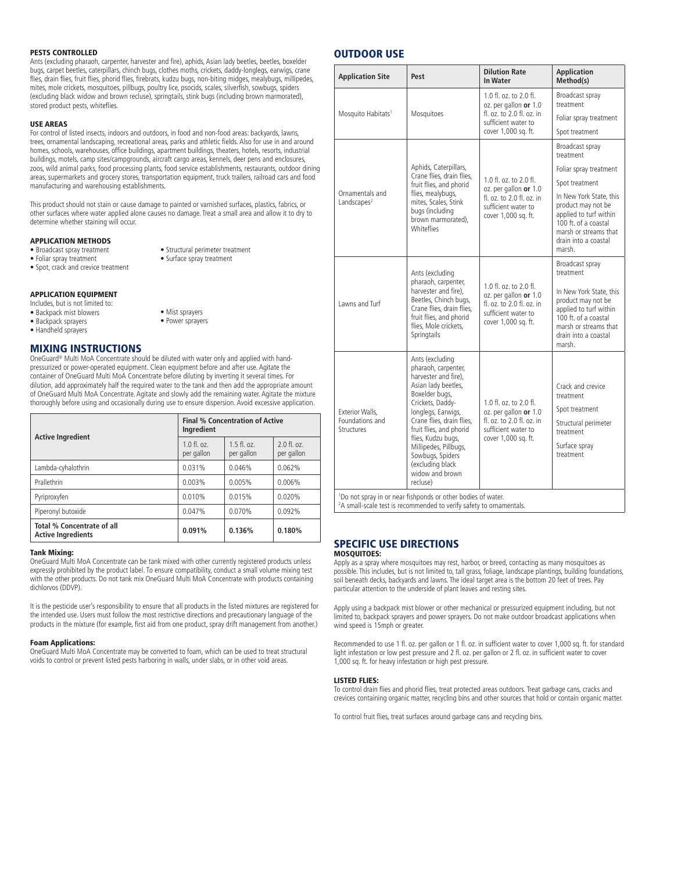### PESTS CONTROLLED

Ants (excluding pharaoh, carpenter, harvester and fire), aphids, Asian lady beetles, beetles, boxelder bugs, carpet beetles, caterpillars, chinch bugs, clothes moths, crickets, daddy-longlegs, earwigs, crane flies, drain flies, fruit flies, phorid flies, firebrats, kudzu bugs, non-biting midges, mealybugs, millipedes, mites, mole crickets, mosquitoes, pillbugs, poultry lice, psocids, scales, silverfish, sowbugs, spiders (excluding black widow and brown recluse), springtails, stink bugs (including brown marmorated), stored product pests, whiteflies.

#### USE AREAS

For control of listed insects, indoors and outdoors, in food and non-food areas: backyards, lawns, trees, ornamental landscaping, recreational areas, parks and athletic fields. Also for use in and around homes, schools, warehouses, office buildings, apartment buildings, theaters, hotels, resorts, industrial buildings, motels, camp sites/campgrounds, aircraft cargo areas, kennels, deer pens and enclosures, zoos, wild animal parks, food processing plants, food service establishments, restaurants, outdoor dining areas, supermarkets and grocery stores, transportation equipment, truck trailers, railroad cars and food manufacturing and warehousing establishments.

This product should not stain or cause damage to painted or varnished surfaces, plastics, fabrics, or other surfaces where water applied alone causes no damage. Treat a small area and allow it to dry to determine whether staining will occur.

> • Structural perimeter treatment • Surface spray treatment

### APPLICATION METHODS

- Broadcast spray treatment
- Foliar spray treatment
- Spot, crack and crevice treatment
- APPLICATION EQUIPMENT
- Includes, but is not limited to:
- Backpack mist blowers • Backpack sprayers
- Handheld sprayers
- MIXING INSTRUCTIONS

OneGuard® Multi MoA Concentrate should be diluted with water only and applied with handpressurized or power-operated equipment. Clean equipment before and after use. Agitate the container of OneGuard Multi MoA Concentrate before diluting by inverting it several times. For dilution, add approximately half the required water to the tank and then add the appropriate amount of OneGuard Multi MoA Concentrate. Agitate and slowly add the remaining water. Agitate the mixture thoroughly before using and occasionally during use to ensure dispersion. Avoid excessive application.

• Mist sprayers • Power sprayers

| <b>Active Ingredient</b>                                       | <b>Final % Concentration of Active</b><br>Ingredient |                             |                             |
|----------------------------------------------------------------|------------------------------------------------------|-----------------------------|-----------------------------|
|                                                                | $1.0 \text{ fl. oz.}$<br>per gallon                  | $1.5$ fl. oz.<br>per gallon | $2.0$ fl. oz.<br>per gallon |
| Lambda-cyhalothrin                                             | 0.031%                                               | 0.046%                      | 0.062%                      |
| Prallethrin                                                    | 0.003%                                               | 0.005%                      | 0.006%                      |
| Pyriproxyfen                                                   | 0.010%                                               | 0.015%                      | 0.020%                      |
| Piperonyl butoxide                                             | 0.047%                                               | 0.070%                      | 0.092%                      |
| <b>Total % Concentrate of all</b><br><b>Active Ingredients</b> | 0.091%                                               | 0.136%                      | 0.180%                      |

#### Tank Mixing:

OneGuard Multi MoA Concentrate can be tank mixed with other currently registered products unless expressly prohibited by the product label. To ensure compatibility, conduct a small volume mixing test with the other products. Do not tank mix OneGuard Multi MoA Concentrate with products containing dichlorvos (DDVP).

It is the pesticide user's responsibility to ensure that all products in the listed mixtures are registered for the intended use. Users must follow the most restrictive directions and precautionary language of the products in the mixture (for example, first aid from one product, spray drift management from another.)

### Foam Applications:

OneGuard Multi MoA Concentrate may be converted to foam, which can be used to treat structural voids to control or prevent listed pests harboring in walls, under slabs, or in other void areas.

### OUTDOOR USE

| <b>Application Site</b>                                                  | Pest                                                                                                                                                                                                                                                                                                                            | <b>Dilution Rate</b><br>In Water                                                                                           | <b>Application</b><br>Method(s)                                                                                                                                                            |
|--------------------------------------------------------------------------|---------------------------------------------------------------------------------------------------------------------------------------------------------------------------------------------------------------------------------------------------------------------------------------------------------------------------------|----------------------------------------------------------------------------------------------------------------------------|--------------------------------------------------------------------------------------------------------------------------------------------------------------------------------------------|
|                                                                          | 1.0 fl. oz. to 2.0 fl.<br>oz. per gallon or 1.0<br>Mosquitoes<br>fl. oz. to $2.0$ fl. oz. in<br>sufficient water to<br>cover 1,000 sq. ft.                                                                                                                                                                                      | Broadcast spray<br>treatment                                                                                               |                                                                                                                                                                                            |
| Mosquito Habitats <sup>1</sup>                                           |                                                                                                                                                                                                                                                                                                                                 |                                                                                                                            | Foliar spray treatment                                                                                                                                                                     |
|                                                                          |                                                                                                                                                                                                                                                                                                                                 |                                                                                                                            | Spot treatment                                                                                                                                                                             |
|                                                                          |                                                                                                                                                                                                                                                                                                                                 |                                                                                                                            | Broadcast spray<br>treatment                                                                                                                                                               |
|                                                                          | Aphids, Caterpillars,<br>Crane flies, drain flies,                                                                                                                                                                                                                                                                              |                                                                                                                            | Foliar spray treatment                                                                                                                                                                     |
|                                                                          | fruit flies, and phorid                                                                                                                                                                                                                                                                                                         | 1.0 fl. oz. to 2.0 fl.<br>oz. per gallon or 1.0                                                                            | Spot treatment                                                                                                                                                                             |
| Landscapes $2$                                                           | Ornamentals and<br>flies, mealybugs,<br>mites, Scales, Stink<br>sufficient water to<br>bugs (including<br>cover 1,000 sq. ft.<br>brown marmorated),<br><b>Whiteflies</b>                                                                                                                                                        | fl. oz. to 2.0 fl. oz. in                                                                                                  | In New York State, this<br>product may not be<br>applied to turf within<br>100 ft. of a coastal<br>marsh or streams that<br>drain into a coastal<br>marsh.                                 |
| Lawns and Turf                                                           | Ants (excluding<br>pharaoh, carpenter,<br>harvester and fire),<br>Beetles, Chinch bugs,<br>Crane flies, drain flies,<br>fruit flies, and phorid<br>flies, Mole crickets,<br>Springtails                                                                                                                                         | 1.0 fl. oz. to 2.0 fl.<br>oz. per gallon or 1.0<br>fl. oz. to 2.0 fl. oz. in<br>sufficient water to<br>cover 1,000 sq. ft. | Broadcast spray<br>treatment<br>In New York State, this<br>product may not be<br>applied to turf within<br>100 ft. of a coastal<br>marsh or streams that<br>drain into a coastal<br>marsh. |
| Exterior Walls,<br>Foundations and<br>Structures                         | Ants (excluding<br>pharaoh, carpenter,<br>harvester and fire),<br>Asian lady beetles,<br>Boxelder bugs,<br>Crickets, Daddy-<br>longlegs, Earwigs,<br>Crane flies, drain flies,<br>fruit flies, and phorid<br>flies, Kudzu bugs,<br>Millipedes, Pillbugs,<br>Sowbugs, Spiders<br>(excluding black<br>widow and brown<br>recluse) | 1.0 fl. oz. to 2.0 fl.<br>oz. per gallon or 1.0<br>fl. oz. to 2.0 fl. oz. in<br>sufficient water to<br>cover 1,000 sq. ft. | Crack and crevice<br>treatment<br>Spot treatment<br>Structural perimeter<br>treatment<br>Surface spray<br>treatment                                                                        |
| <sup>1</sup> Do not spray in or near fishponds or other bodies of water. |                                                                                                                                                                                                                                                                                                                                 |                                                                                                                            |                                                                                                                                                                                            |

2 A small-scale test is recommended to verify safety to ornamentals.

#### SPECIFIC USE DIRECTIONS MOSQUITOES:

Apply as a spray where mosquitoes may rest, harbor, or breed, contacting as many mosquitoes as possible. This includes, but is not limited to, tall grass, foliage, landscape plantings, building foundations, soil beneath decks, backyards and lawns. The ideal target area is the bottom 20 feet of trees. Pay particular attention to the underside of plant leaves and resting sites.

Apply using a backpack mist blower or other mechanical or pressurized equipment including, but not limited to, backpack sprayers and power sprayers. Do not make outdoor broadcast applications when wind speed is 15mph or greater.

Recommended to use 1 fl. oz. per gallon or 1 fl. oz. in sufficient water to cover 1,000 sq. ft. for standard light infestation or low pest pressure and 2 fl. oz. per gallon or 2 fl. oz. in sufficient water to cover 1,000 sq. ft. for heavy infestation or high pest pressure.

### LISTED FLIES:

To control drain flies and phorid flies, treat protected areas outdoors. Treat garbage cans, cracks and crevices containing organic matter, recycling bins and other sources that hold or contain organic matter.

To control fruit flies, treat surfaces around garbage cans and recycling bins.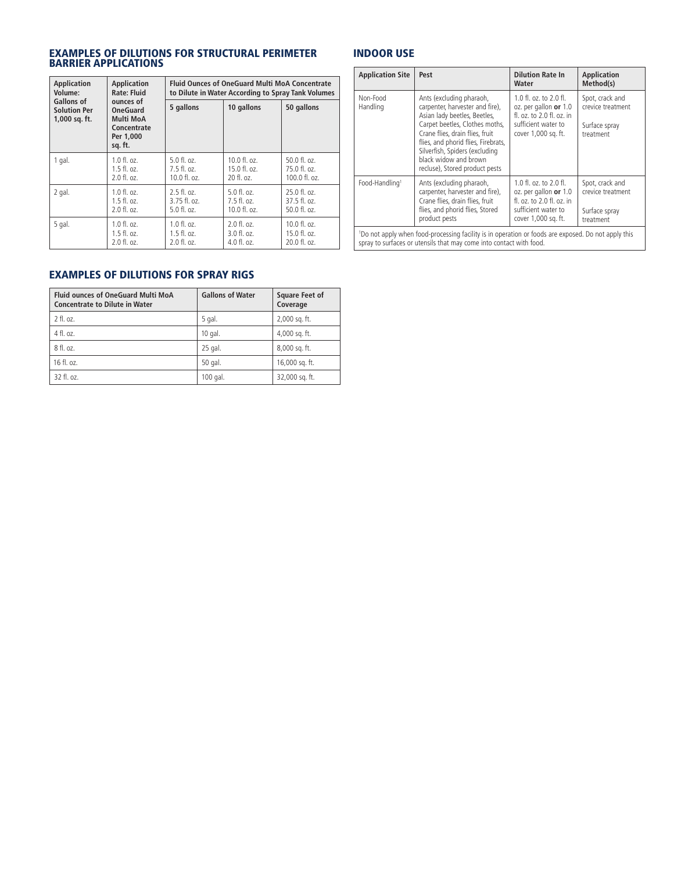### EXAMPLES OF DILUTIONS FOR STRUCTURAL PERIMETER BARRIER APPLICATIONS

| <b>Application</b><br><b>Application</b><br><b>Rate: Fluid</b><br>Volume: |                                                                                  | <b>Fluid Ounces of OneGuard Multi MoA Concentrate</b><br>to Dilute in Water According to Spray Tank Volumes |                           |                        |
|---------------------------------------------------------------------------|----------------------------------------------------------------------------------|-------------------------------------------------------------------------------------------------------------|---------------------------|------------------------|
| Gallons of<br><b>Solution Per</b><br>1,000 sq. ft.                        | ounces of<br><b>OneGuard</b><br>Multi MoA<br>Concentrate<br>Per 1,000<br>sq. ft. | 5 gallons                                                                                                   | 10 gallons                | 50 gallons             |
| 1 gal.                                                                    | $1.0 \text{ fl. oz.}$                                                            | 5.0 fl. oz.                                                                                                 | $10.0 f$ , $0z$ .         | $50.0$ fl. oz.         |
|                                                                           | $1.5 \text{ fl. oz.}$                                                            | $7.5$ fl. oz.                                                                                               | 15.0 f1. oz.              | 75.0 f1. oz.           |
|                                                                           | 2.0 fl. oz.                                                                      | $10.0 \text{ fl.}$ $oz.$                                                                                    | 20 fl. oz.                | 100.0 fl. oz.          |
| 2 gal.                                                                    | 1.0 fl. oz.                                                                      | $2.5$ fl. oz.                                                                                               | $5.0$ fl. oz.             | $25.0$ fl. oz.         |
|                                                                           | $1.5 \text{ fl. oz.}$                                                            | $3.75$ fl. oz.                                                                                              | $7.5$ fl. oz.             | $37.5$ fl. oz.         |
|                                                                           | 2.0 fl. oz.                                                                      | $5.0$ fl. oz.                                                                                               | 10.0 fl. oz.              | 50.0 fl. oz.           |
| 5 gal.                                                                    | $1.0$ fl. oz.                                                                    | $1.0 \text{ fl. oz.}$                                                                                       | $2.0$ fl. oz.             | $10.0 \text{ fl. oz.}$ |
|                                                                           | $1.5 \text{ fl. oz.}$                                                            | $1.5$ fl. oz.                                                                                               | $3.0 \text{ fl.}$ $0.7$ . | $15.0 \text{ fl. oz.}$ |
|                                                                           | 2.0 fl. oz.                                                                      | 2.0 fl. oz.                                                                                                 | $4.0 \text{ fl.}$ $07.$   | 20.0 fl. oz.           |

### INDOOR USE

| <b>Application Site</b>                                                                                                                                                                | Pest                                                                                                                                                                                                                                                                                                 | <b>Dilution Rate In</b><br>Water                                                                                               | <b>Application</b><br>Method(s)                                    |
|----------------------------------------------------------------------------------------------------------------------------------------------------------------------------------------|------------------------------------------------------------------------------------------------------------------------------------------------------------------------------------------------------------------------------------------------------------------------------------------------------|--------------------------------------------------------------------------------------------------------------------------------|--------------------------------------------------------------------|
| Non-Food<br>Handling                                                                                                                                                                   | Ants (excluding pharaoh,<br>carpenter, harvester and fire),<br>Asian lady beetles, Beetles,<br>Carpet beetles, Clothes moths,<br>Crane flies, drain flies, fruit<br>flies, and phorid flies, Firebrats,<br>Silverfish, Spiders (excluding<br>black widow and brown<br>recluse), Stored product pests | $1.0$ fl. oz. to $2.0$ fl.<br>oz. per gallon or 1.0<br>fl. oz. to 2.0 fl. oz. in<br>sufficient water to<br>cover 1,000 sq. ft. | Spot, crack and<br>crevice treatment<br>Surface spray<br>treatment |
| Food-Handling <sup>1</sup>                                                                                                                                                             | Ants (excluding pharaoh,<br>carpenter, harvester and fire),<br>Crane flies, drain flies, fruit<br>flies, and phorid flies, Stored<br>product pests                                                                                                                                                   | 1.0 fl. oz. to 2.0 fl.<br>oz. per gallon or 1.0<br>fl. oz. to 2.0 fl. oz. in<br>sufficient water to<br>cover 1,000 sq. ft.     | Spot, crack and<br>crevice treatment<br>Surface spray<br>treatment |
| <sup>1</sup> Do not apply when food-processing facility is in operation or foods are exposed. Do not apply this<br>spray to surfaces or utensils that may come into contact with food. |                                                                                                                                                                                                                                                                                                      |                                                                                                                                |                                                                    |

### EXAMPLES OF DILUTIONS FOR SPRAY RIGS

| <b>Fluid ounces of OneGuard Multi MoA</b><br><b>Concentrate to Dilute in Water</b> | <b>Gallons of Water</b> | <b>Square Feet of</b><br>Coverage |
|------------------------------------------------------------------------------------|-------------------------|-----------------------------------|
| 2 fl. oz.                                                                          | 5 gal.                  | 2,000 sq. ft.                     |
| 4 fl. oz.                                                                          | $10$ gal.               | 4,000 sq. ft.                     |
| 8 fl. oz.                                                                          | 25 gal.                 | 8,000 sq. ft.                     |
| $16$ fl. $0z$ .                                                                    | 50 gal.                 | 16,000 sq. ft.                    |
| 32 fl. oz.                                                                         | 100 gal.                | 32,000 sq. ft.                    |